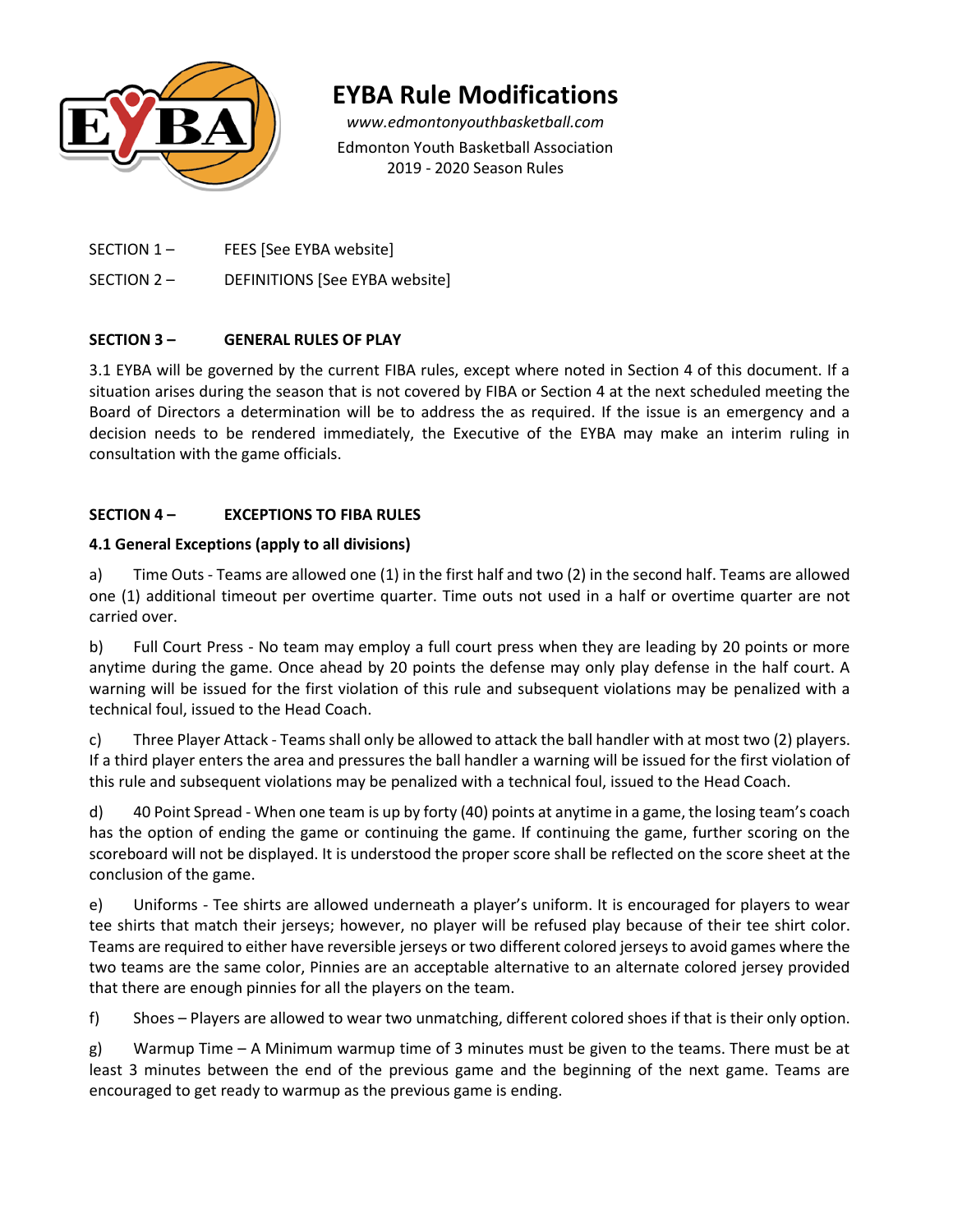

# **EYBA Rule Modifications**

*www.edmontonyouthbasketball.com* Edmonton Youth Basketball Association 2019 - 2020 Season Rules

SECTION 1 – FEES [See EYBA website]

SECTION 2 – DEFINITIONS [See EYBA website]

### **SECTION 3 – GENERAL RULES OF PLAY**

3.1 EYBA will be governed by the current FIBA rules, except where noted in Section 4 of this document. If a situation arises during the season that is not covered by FIBA or Section 4 at the next scheduled meeting the Board of Directors a determination will be to address the as required. If the issue is an emergency and a decision needs to be rendered immediately, the Executive of the EYBA may make an interim ruling in consultation with the game officials.

### **SECTION 4 – EXCEPTIONS TO FIBA RULES**

### **4.1 General Exceptions (apply to all divisions)**

a) Time Outs - Teams are allowed one (1) in the first half and two (2) in the second half. Teams are allowed one (1) additional timeout per overtime quarter. Time outs not used in a half or overtime quarter are not carried over.

b) Full Court Press - No team may employ a full court press when they are leading by 20 points or more anytime during the game. Once ahead by 20 points the defense may only play defense in the half court. A warning will be issued for the first violation of this rule and subsequent violations may be penalized with a technical foul, issued to the Head Coach.

c) Three Player Attack - Teams shall only be allowed to attack the ball handler with at most two (2) players. If a third player enters the area and pressures the ball handler a warning will be issued for the first violation of this rule and subsequent violations may be penalized with a technical foul, issued to the Head Coach.

d) 40 Point Spread - When one team is up by forty (40) points at anytime in a game, the losing team's coach has the option of ending the game or continuing the game. If continuing the game, further scoring on the scoreboard will not be displayed. It is understood the proper score shall be reflected on the score sheet at the conclusion of the game.

e) Uniforms - Tee shirts are allowed underneath a player's uniform. It is encouraged for players to wear tee shirts that match their jerseys; however, no player will be refused play because of their tee shirt color. Teams are required to either have reversible jerseys or two different colored jerseys to avoid games where the two teams are the same color, Pinnies are an acceptable alternative to an alternate colored jersey provided that there are enough pinnies for all the players on the team.

f) Shoes – Players are allowed to wear two unmatching, different colored shoes if that is their only option.

g) Warmup Time – A Minimum warmup time of 3 minutes must be given to the teams. There must be at least 3 minutes between the end of the previous game and the beginning of the next game. Teams are encouraged to get ready to warmup as the previous game is ending.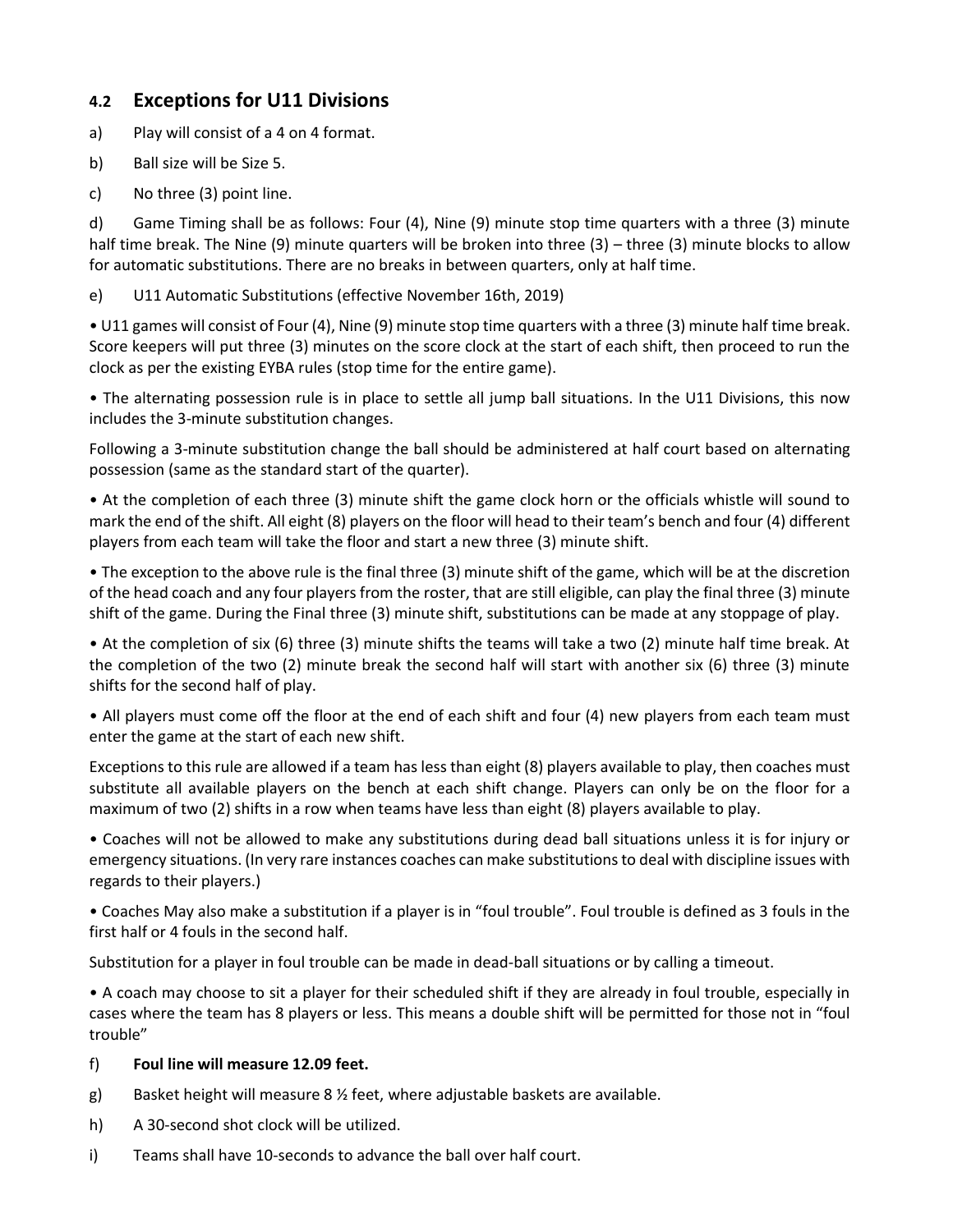# **4.2 Exceptions for U11 Divisions**

a) Play will consist of a 4 on 4 format.

- b) Ball size will be Size 5.
- c) No three (3) point line.

d) Game Timing shall be as follows: Four (4), Nine (9) minute stop time quarters with a three (3) minute half time break. The Nine (9) minute quarters will be broken into three (3) – three (3) minute blocks to allow for automatic substitutions. There are no breaks in between quarters, only at half time.

e) U11 Automatic Substitutions (effective November 16th, 2019)

• U11 games will consist of Four (4), Nine (9) minute stop time quarters with a three (3) minute half time break. Score keepers will put three (3) minutes on the score clock at the start of each shift, then proceed to run the clock as per the existing EYBA rules (stop time for the entire game).

• The alternating possession rule is in place to settle all jump ball situations. In the U11 Divisions, this now includes the 3-minute substitution changes.

Following a 3-minute substitution change the ball should be administered at half court based on alternating possession (same as the standard start of the quarter).

• At the completion of each three (3) minute shift the game clock horn or the officials whistle will sound to mark the end of the shift. All eight (8) players on the floor will head to their team's bench and four (4) different players from each team will take the floor and start a new three (3) minute shift.

• The exception to the above rule is the final three (3) minute shift of the game, which will be at the discretion of the head coach and any four players from the roster, that are still eligible, can play the final three (3) minute shift of the game. During the Final three (3) minute shift, substitutions can be made at any stoppage of play.

• At the completion of six (6) three (3) minute shifts the teams will take a two (2) minute half time break. At the completion of the two (2) minute break the second half will start with another six (6) three (3) minute shifts for the second half of play.

• All players must come off the floor at the end of each shift and four (4) new players from each team must enter the game at the start of each new shift.

Exceptions to this rule are allowed if a team has less than eight (8) players available to play, then coaches must substitute all available players on the bench at each shift change. Players can only be on the floor for a maximum of two (2) shifts in a row when teams have less than eight (8) players available to play.

• Coaches will not be allowed to make any substitutions during dead ball situations unless it is for injury or emergency situations. (In very rare instances coaches can make substitutions to deal with discipline issues with regards to their players.)

• Coaches May also make a substitution if a player is in "foul trouble". Foul trouble is defined as 3 fouls in the first half or 4 fouls in the second half.

Substitution for a player in foul trouble can be made in dead-ball situations or by calling a timeout.

• A coach may choose to sit a player for their scheduled shift if they are already in foul trouble, especially in cases where the team has 8 players or less. This means a double shift will be permitted for those not in "foul trouble"

### f) **Foul line will measure 12.09 feet.**

- g) Basket height will measure 8  $\frac{1}{2}$  feet, where adjustable baskets are available.
- h) A 30-second shot clock will be utilized.
- i) Teams shall have 10-seconds to advance the ball over half court.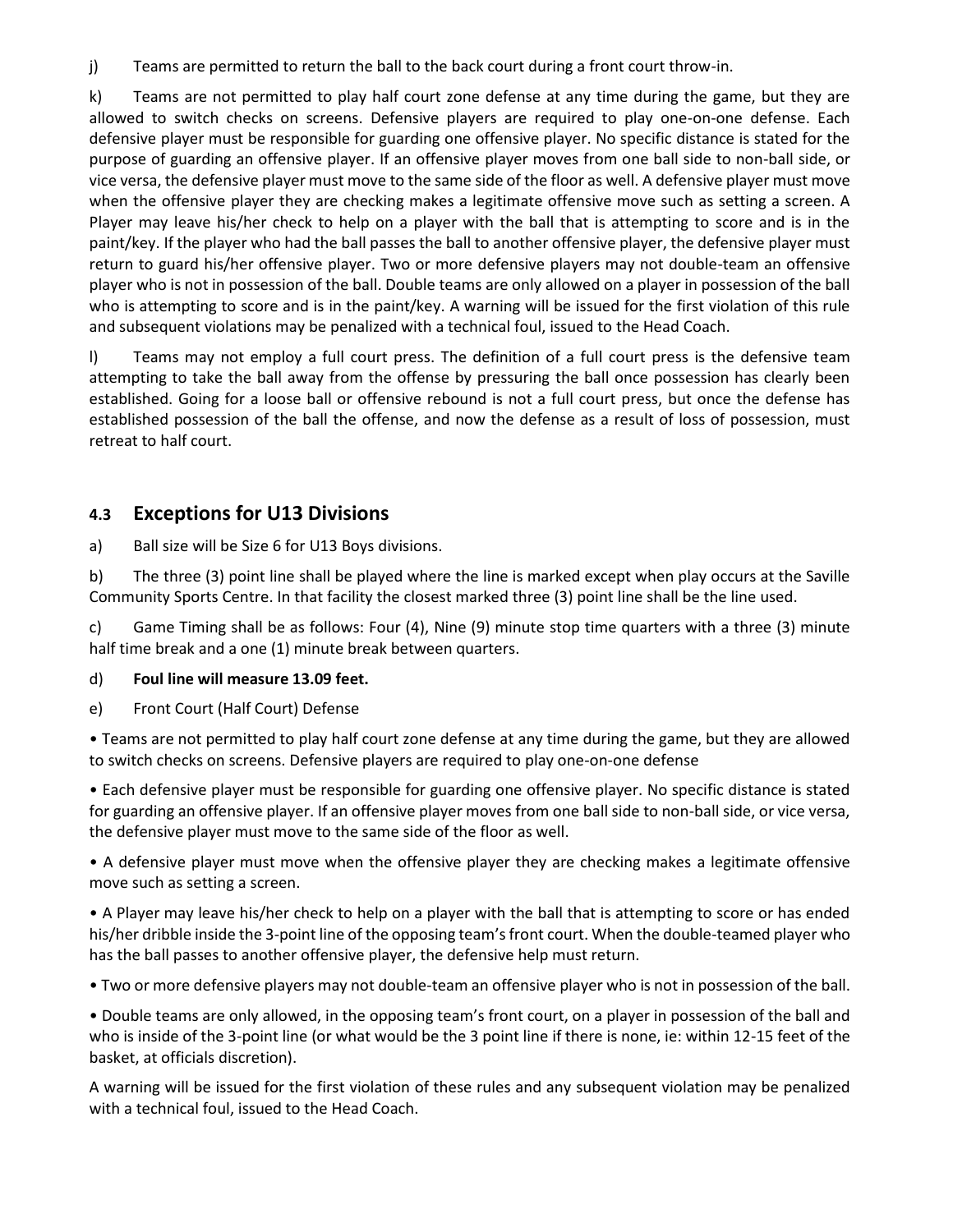j) Teams are permitted to return the ball to the back court during a front court throw-in.

k) Teams are not permitted to play half court zone defense at any time during the game, but they are allowed to switch checks on screens. Defensive players are required to play one-on-one defense. Each defensive player must be responsible for guarding one offensive player. No specific distance is stated for the purpose of guarding an offensive player. If an offensive player moves from one ball side to non-ball side, or vice versa, the defensive player must move to the same side of the floor as well. A defensive player must move when the offensive player they are checking makes a legitimate offensive move such as setting a screen. A Player may leave his/her check to help on a player with the ball that is attempting to score and is in the paint/key. If the player who had the ball passes the ball to another offensive player, the defensive player must return to guard his/her offensive player. Two or more defensive players may not double-team an offensive player who is not in possession of the ball. Double teams are only allowed on a player in possession of the ball who is attempting to score and is in the paint/key. A warning will be issued for the first violation of this rule and subsequent violations may be penalized with a technical foul, issued to the Head Coach.

l) Teams may not employ a full court press. The definition of a full court press is the defensive team attempting to take the ball away from the offense by pressuring the ball once possession has clearly been established. Going for a loose ball or offensive rebound is not a full court press, but once the defense has established possession of the ball the offense, and now the defense as a result of loss of possession, must retreat to half court.

### **4.3 Exceptions for U13 Divisions**

a) Ball size will be Size 6 for U13 Boys divisions.

b) The three (3) point line shall be played where the line is marked except when play occurs at the Saville Community Sports Centre. In that facility the closest marked three (3) point line shall be the line used.

c) Game Timing shall be as follows: Four (4), Nine (9) minute stop time quarters with a three (3) minute half time break and a one (1) minute break between quarters.

### d) **Foul line will measure 13.09 feet.**

e) Front Court (Half Court) Defense

• Teams are not permitted to play half court zone defense at any time during the game, but they are allowed to switch checks on screens. Defensive players are required to play one-on-one defense

• Each defensive player must be responsible for guarding one offensive player. No specific distance is stated for guarding an offensive player. If an offensive player moves from one ball side to non-ball side, or vice versa, the defensive player must move to the same side of the floor as well.

• A defensive player must move when the offensive player they are checking makes a legitimate offensive move such as setting a screen.

• A Player may leave his/her check to help on a player with the ball that is attempting to score or has ended his/her dribble inside the 3-point line of the opposing team's front court. When the double-teamed player who has the ball passes to another offensive player, the defensive help must return.

• Two or more defensive players may not double-team an offensive player who is not in possession of the ball.

• Double teams are only allowed, in the opposing team's front court, on a player in possession of the ball and who is inside of the 3-point line (or what would be the 3 point line if there is none, ie: within 12-15 feet of the basket, at officials discretion).

A warning will be issued for the first violation of these rules and any subsequent violation may be penalized with a technical foul, issued to the Head Coach.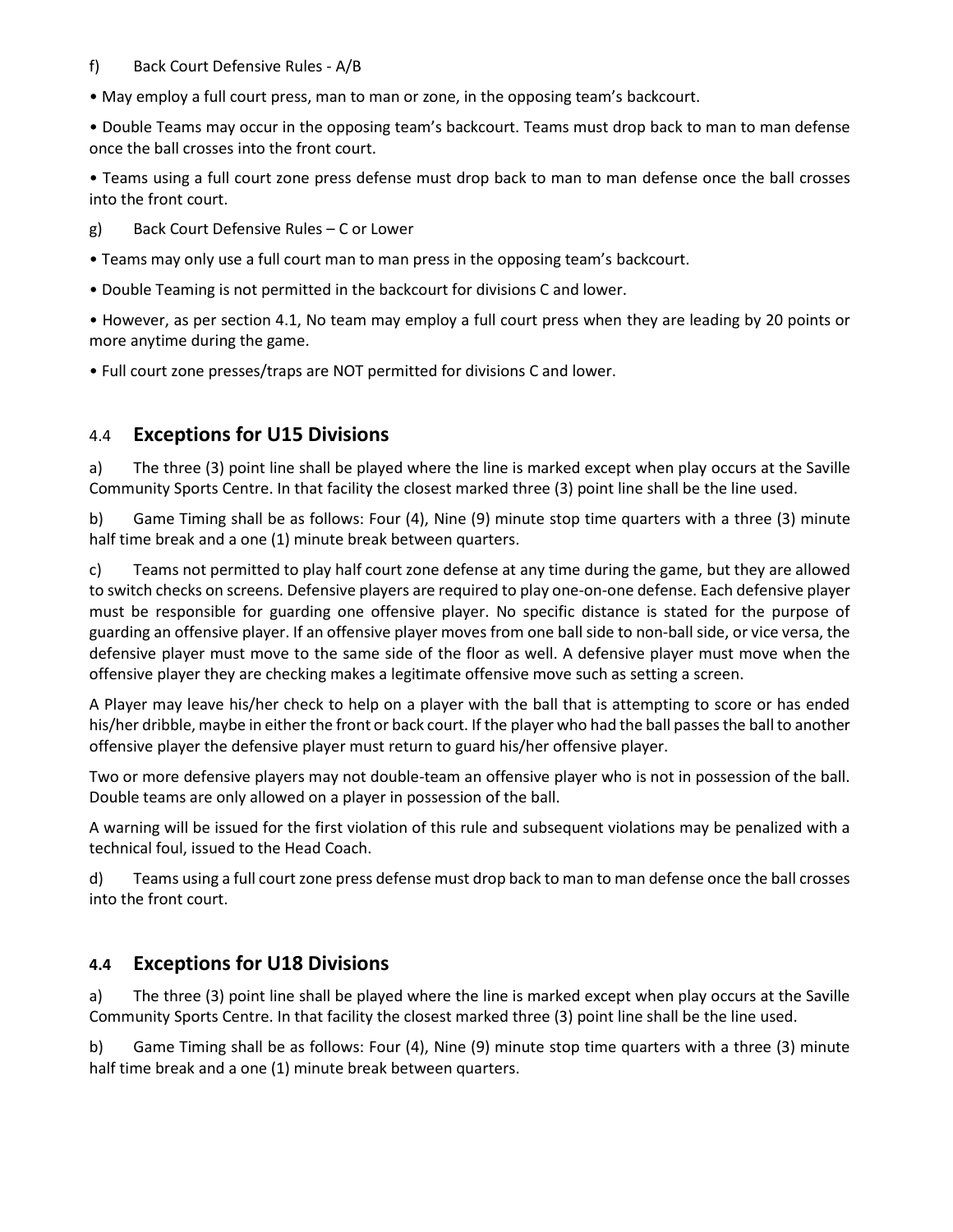### f) Back Court Defensive Rules - A/B

• May employ a full court press, man to man or zone, in the opposing team's backcourt.

• Double Teams may occur in the opposing team's backcourt. Teams must drop back to man to man defense once the ball crosses into the front court.

• Teams using a full court zone press defense must drop back to man to man defense once the ball crosses into the front court.

g) Back Court Defensive Rules – C or Lower

• Teams may only use a full court man to man press in the opposing team's backcourt.

• Double Teaming is not permitted in the backcourt for divisions C and lower.

• However, as per section 4.1, No team may employ a full court press when they are leading by 20 points or more anytime during the game.

• Full court zone presses/traps are NOT permitted for divisions C and lower.

# 4.4 **Exceptions for U15 Divisions**

a) The three (3) point line shall be played where the line is marked except when play occurs at the Saville Community Sports Centre. In that facility the closest marked three (3) point line shall be the line used.

b) Game Timing shall be as follows: Four (4), Nine (9) minute stop time quarters with a three (3) minute half time break and a one (1) minute break between quarters.

c) Teams not permitted to play half court zone defense at any time during the game, but they are allowed to switch checks on screens. Defensive players are required to play one-on-one defense. Each defensive player must be responsible for guarding one offensive player. No specific distance is stated for the purpose of guarding an offensive player. If an offensive player moves from one ball side to non-ball side, or vice versa, the defensive player must move to the same side of the floor as well. A defensive player must move when the offensive player they are checking makes a legitimate offensive move such as setting a screen.

A Player may leave his/her check to help on a player with the ball that is attempting to score or has ended his/her dribble, maybe in either the front or back court. If the player who had the ball passes the ball to another offensive player the defensive player must return to guard his/her offensive player.

Two or more defensive players may not double-team an offensive player who is not in possession of the ball. Double teams are only allowed on a player in possession of the ball.

A warning will be issued for the first violation of this rule and subsequent violations may be penalized with a technical foul, issued to the Head Coach.

d) Teams using a full court zone press defense must drop back to man to man defense once the ball crosses into the front court.

# **4.4 Exceptions for U18 Divisions**

a) The three (3) point line shall be played where the line is marked except when play occurs at the Saville Community Sports Centre. In that facility the closest marked three (3) point line shall be the line used.

b) Game Timing shall be as follows: Four (4), Nine (9) minute stop time quarters with a three (3) minute half time break and a one (1) minute break between quarters.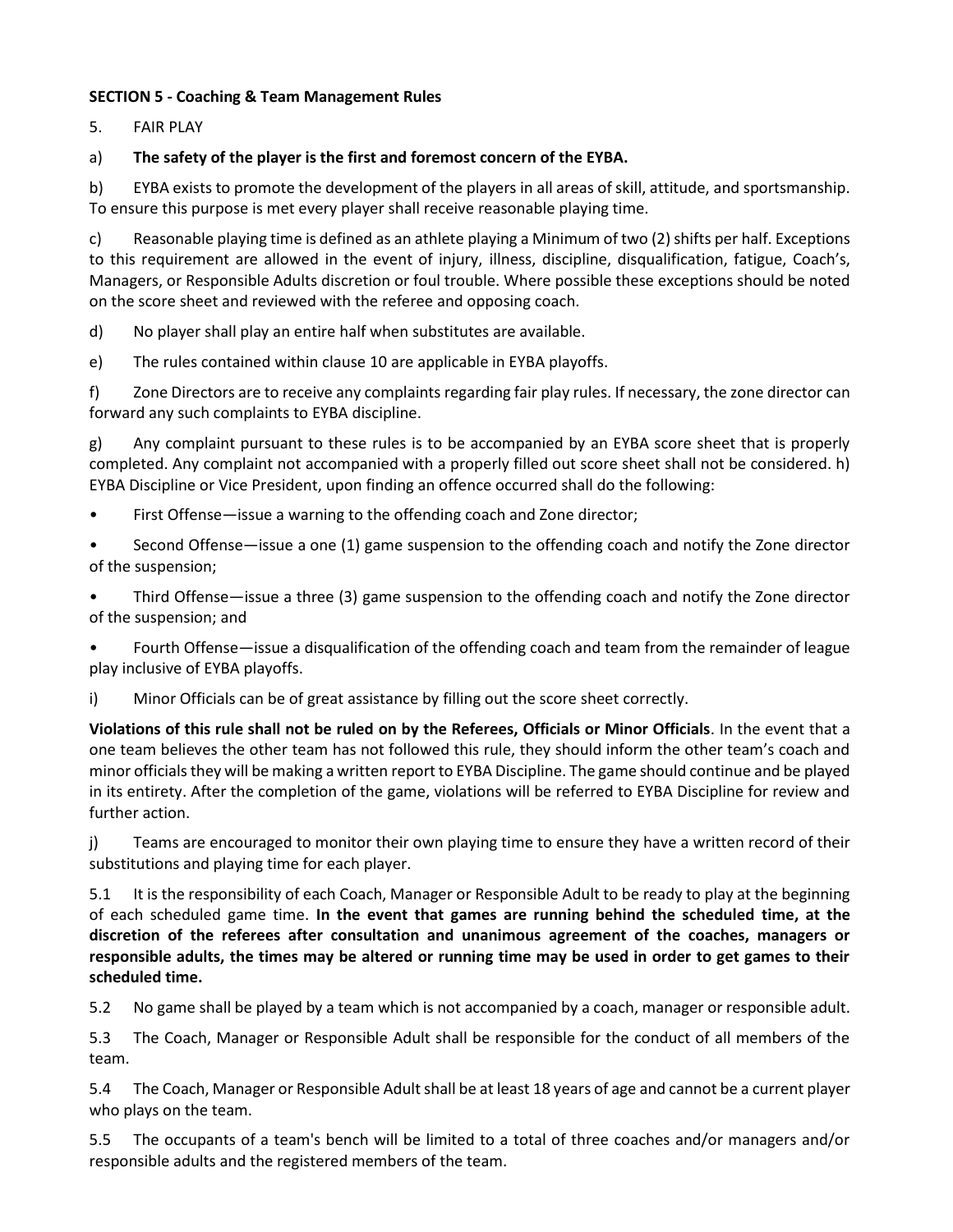### **SECTION 5 - Coaching & Team Management Rules**

5. FAIR PLAY

### a) **The safety of the player is the first and foremost concern of the EYBA.**

b) EYBA exists to promote the development of the players in all areas of skill, attitude, and sportsmanship. To ensure this purpose is met every player shall receive reasonable playing time.

c) Reasonable playing time is defined as an athlete playing a Minimum of two (2) shifts per half. Exceptions to this requirement are allowed in the event of injury, illness, discipline, disqualification, fatigue, Coach's, Managers, or Responsible Adults discretion or foul trouble. Where possible these exceptions should be noted on the score sheet and reviewed with the referee and opposing coach.

d) No player shall play an entire half when substitutes are available.

e) The rules contained within clause 10 are applicable in EYBA playoffs.

f) Zone Directors are to receive any complaints regarding fair play rules. If necessary, the zone director can forward any such complaints to EYBA discipline.

g) Any complaint pursuant to these rules is to be accompanied by an EYBA score sheet that is properly completed. Any complaint not accompanied with a properly filled out score sheet shall not be considered. h) EYBA Discipline or Vice President, upon finding an offence occurred shall do the following:

- First Offense—issue a warning to the offending coach and Zone director;
- Second Offense—issue a one (1) game suspension to the offending coach and notify the Zone director of the suspension;

• Third Offense—issue a three (3) game suspension to the offending coach and notify the Zone director of the suspension; and

• Fourth Offense—issue a disqualification of the offending coach and team from the remainder of league play inclusive of EYBA playoffs.

i) Minor Officials can be of great assistance by filling out the score sheet correctly.

**Violations of this rule shall not be ruled on by the Referees, Officials or Minor Officials**. In the event that a one team believes the other team has not followed this rule, they should inform the other team's coach and minor officials they will be making a written report to EYBA Discipline. The game should continue and be played in its entirety. After the completion of the game, violations will be referred to EYBA Discipline for review and further action.

j) Teams are encouraged to monitor their own playing time to ensure they have a written record of their substitutions and playing time for each player.

5.1 It is the responsibility of each Coach, Manager or Responsible Adult to be ready to play at the beginning of each scheduled game time. **In the event that games are running behind the scheduled time, at the discretion of the referees after consultation and unanimous agreement of the coaches, managers or responsible adults, the times may be altered or running time may be used in order to get games to their scheduled time.**

5.2 No game shall be played by a team which is not accompanied by a coach, manager or responsible adult.

5.3 The Coach, Manager or Responsible Adult shall be responsible for the conduct of all members of the team.

5.4 The Coach, Manager or Responsible Adult shall be at least 18 years of age and cannot be a current player who plays on the team.

5.5 The occupants of a team's bench will be limited to a total of three coaches and/or managers and/or responsible adults and the registered members of the team.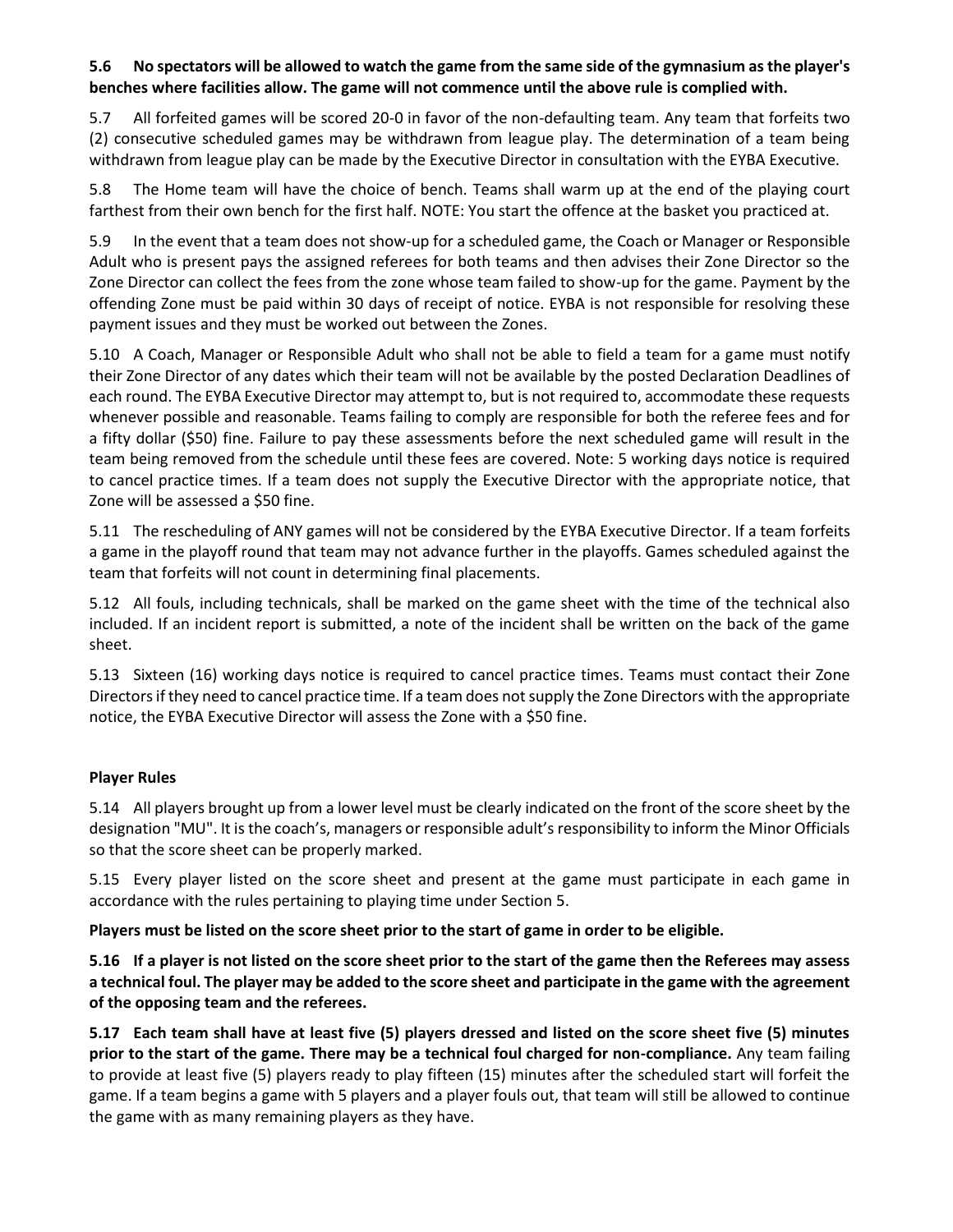### **5.6 No spectators will be allowed to watch the game from the same side of the gymnasium as the player's benches where facilities allow. The game will not commence until the above rule is complied with.**

5.7 All forfeited games will be scored 20-0 in favor of the non-defaulting team. Any team that forfeits two (2) consecutive scheduled games may be withdrawn from league play. The determination of a team being withdrawn from league play can be made by the Executive Director in consultation with the EYBA Executive.

5.8 The Home team will have the choice of bench. Teams shall warm up at the end of the playing court farthest from their own bench for the first half. NOTE: You start the offence at the basket you practiced at.

5.9 In the event that a team does not show-up for a scheduled game, the Coach or Manager or Responsible Adult who is present pays the assigned referees for both teams and then advises their Zone Director so the Zone Director can collect the fees from the zone whose team failed to show-up for the game. Payment by the offending Zone must be paid within 30 days of receipt of notice. EYBA is not responsible for resolving these payment issues and they must be worked out between the Zones.

5.10 A Coach, Manager or Responsible Adult who shall not be able to field a team for a game must notify their Zone Director of any dates which their team will not be available by the posted Declaration Deadlines of each round. The EYBA Executive Director may attempt to, but is not required to, accommodate these requests whenever possible and reasonable. Teams failing to comply are responsible for both the referee fees and for a fifty dollar (\$50) fine. Failure to pay these assessments before the next scheduled game will result in the team being removed from the schedule until these fees are covered. Note: 5 working days notice is required to cancel practice times. If a team does not supply the Executive Director with the appropriate notice, that Zone will be assessed a \$50 fine.

5.11 The rescheduling of ANY games will not be considered by the EYBA Executive Director. If a team forfeits a game in the playoff round that team may not advance further in the playoffs. Games scheduled against the team that forfeits will not count in determining final placements.

5.12 All fouls, including technicals, shall be marked on the game sheet with the time of the technical also included. If an incident report is submitted, a note of the incident shall be written on the back of the game sheet.

5.13 Sixteen (16) working days notice is required to cancel practice times. Teams must contact their Zone Directors if they need to cancel practice time. If a team does not supply the Zone Directors with the appropriate notice, the EYBA Executive Director will assess the Zone with a \$50 fine.

### **Player Rules**

5.14 All players brought up from a lower level must be clearly indicated on the front of the score sheet by the designation "MU". It is the coach's, managers or responsible adult's responsibility to inform the Minor Officials so that the score sheet can be properly marked.

5.15 Every player listed on the score sheet and present at the game must participate in each game in accordance with the rules pertaining to playing time under Section 5.

**Players must be listed on the score sheet prior to the start of game in order to be eligible.** 

**5.16 If a player is not listed on the score sheet prior to the start of the game then the Referees may assess a technical foul. The player may be added to the score sheet and participate in the game with the agreement of the opposing team and the referees.**

**5.17 Each team shall have at least five (5) players dressed and listed on the score sheet five (5) minutes prior to the start of the game. There may be a technical foul charged for non-compliance.** Any team failing to provide at least five (5) players ready to play fifteen (15) minutes after the scheduled start will forfeit the game. If a team begins a game with 5 players and a player fouls out, that team will still be allowed to continue the game with as many remaining players as they have.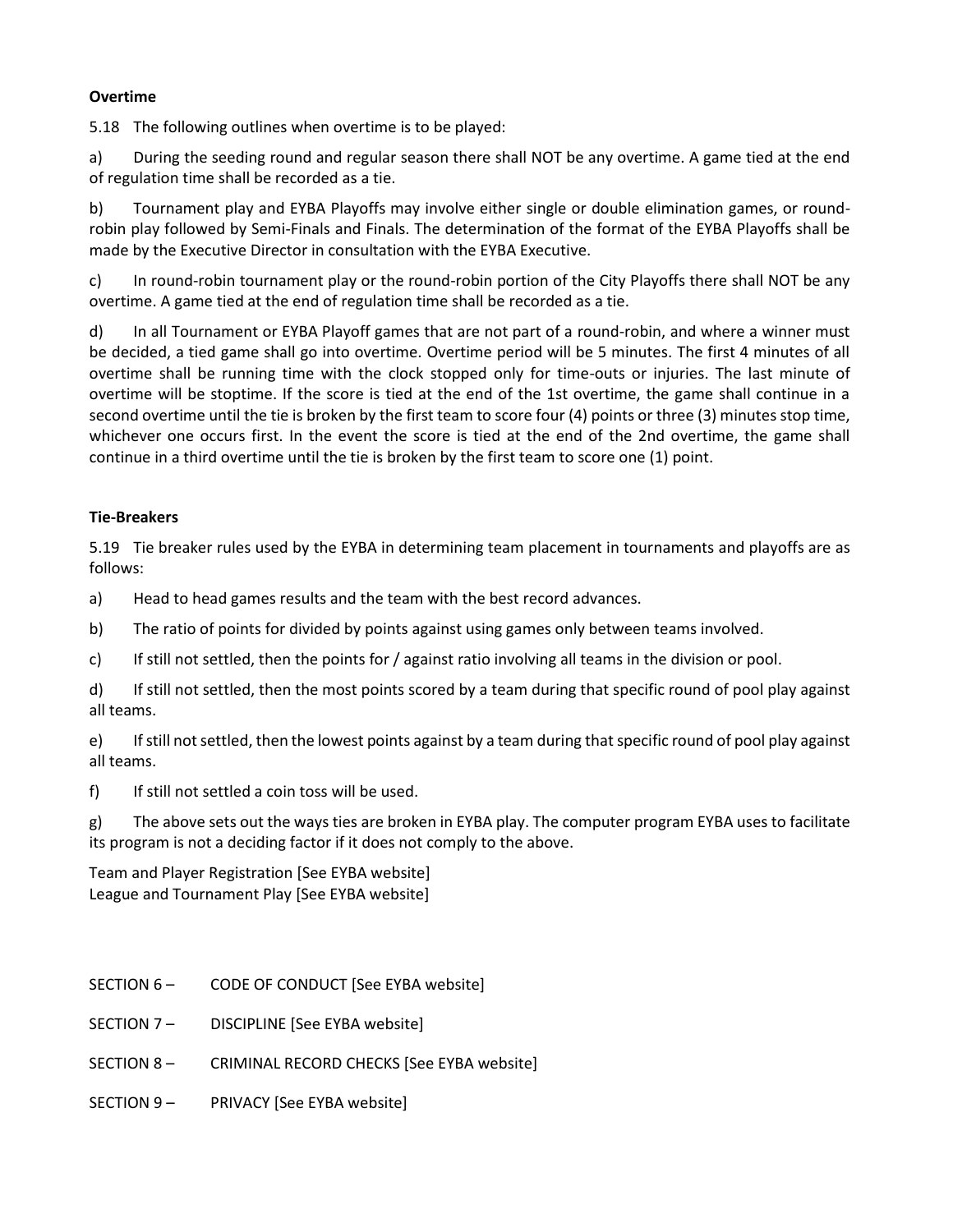#### **Overtime**

5.18 The following outlines when overtime is to be played:

a) During the seeding round and regular season there shall NOT be any overtime. A game tied at the end of regulation time shall be recorded as a tie.

b) Tournament play and EYBA Playoffs may involve either single or double elimination games, or roundrobin play followed by Semi-Finals and Finals. The determination of the format of the EYBA Playoffs shall be made by the Executive Director in consultation with the EYBA Executive.

c) In round-robin tournament play or the round-robin portion of the City Playoffs there shall NOT be any overtime. A game tied at the end of regulation time shall be recorded as a tie.

d) In all Tournament or EYBA Playoff games that are not part of a round-robin, and where a winner must be decided, a tied game shall go into overtime. Overtime period will be 5 minutes. The first 4 minutes of all overtime shall be running time with the clock stopped only for time-outs or injuries. The last minute of overtime will be stoptime. If the score is tied at the end of the 1st overtime, the game shall continue in a second overtime until the tie is broken by the first team to score four (4) points or three (3) minutes stop time, whichever one occurs first. In the event the score is tied at the end of the 2nd overtime, the game shall continue in a third overtime until the tie is broken by the first team to score one (1) point.

### **Tie-Breakers**

5.19 Tie breaker rules used by the EYBA in determining team placement in tournaments and playoffs are as follows:

a) Head to head games results and the team with the best record advances.

- b) The ratio of points for divided by points against using games only between teams involved.
- c) If still not settled, then the points for / against ratio involving all teams in the division or pool.

d) If still not settled, then the most points scored by a team during that specific round of pool play against all teams.

e) If still not settled, then the lowest points against by a team during that specific round of pool play against all teams.

f) If still not settled a coin toss will be used.

g) The above sets out the ways ties are broken in EYBA play. The computer program EYBA uses to facilitate its program is not a deciding factor if it does not comply to the above.

Team and Player Registration [See EYBA website] League and Tournament Play [See EYBA website]

- SECTION 6 CODE OF CONDUCT [See EYBA website]
- SECTION 7 DISCIPLINE [See EYBA website]
- SECTION 8 CRIMINAL RECORD CHECKS [See EYBA website]
- SECTION 9 PRIVACY [See EYBA website]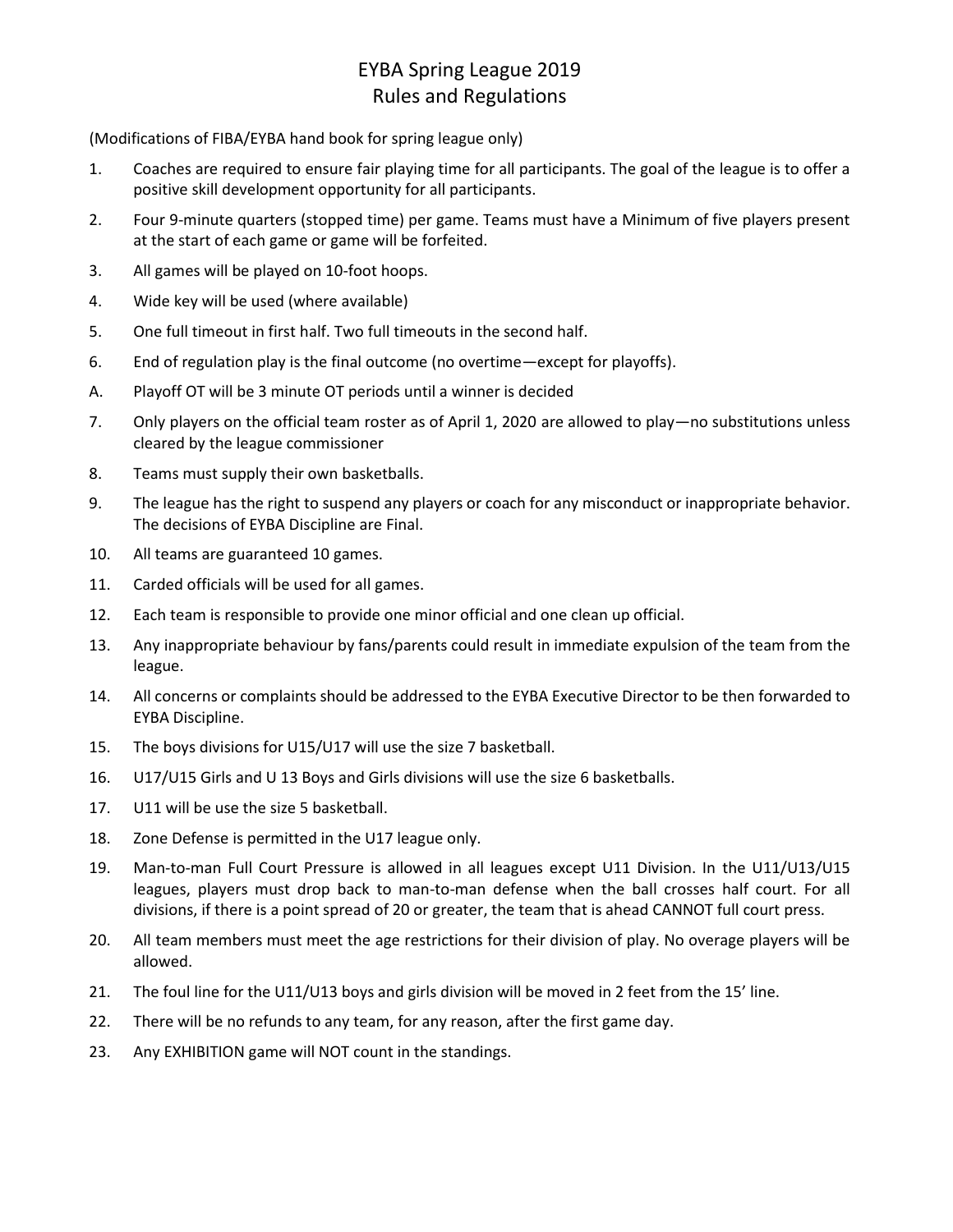# EYBA Spring League 2019 Rules and Regulations

(Modifications of FIBA/EYBA hand book for spring league only)

- 1. Coaches are required to ensure fair playing time for all participants. The goal of the league is to offer a positive skill development opportunity for all participants.
- 2. Four 9-minute quarters (stopped time) per game. Teams must have a Minimum of five players present at the start of each game or game will be forfeited.
- 3. All games will be played on 10-foot hoops.
- 4. Wide key will be used (where available)
- 5. One full timeout in first half. Two full timeouts in the second half.
- 6. End of regulation play is the final outcome (no overtime—except for playoffs).
- A. Playoff OT will be 3 minute OT periods until a winner is decided
- 7. Only players on the official team roster as of April 1, 2020 are allowed to play—no substitutions unless cleared by the league commissioner
- 8. Teams must supply their own basketballs.
- 9. The league has the right to suspend any players or coach for any misconduct or inappropriate behavior. The decisions of EYBA Discipline are Final.
- 10. All teams are guaranteed 10 games.
- 11. Carded officials will be used for all games.
- 12. Each team is responsible to provide one minor official and one clean up official.
- 13. Any inappropriate behaviour by fans/parents could result in immediate expulsion of the team from the league.
- 14. All concerns or complaints should be addressed to the EYBA Executive Director to be then forwarded to EYBA Discipline.
- 15. The boys divisions for U15/U17 will use the size 7 basketball.
- 16. U17/U15 Girls and U 13 Boys and Girls divisions will use the size 6 basketballs.
- 17. U11 will be use the size 5 basketball.
- 18. Zone Defense is permitted in the U17 league only.
- 19. Man-to-man Full Court Pressure is allowed in all leagues except U11 Division. In the U11/U13/U15 leagues, players must drop back to man-to-man defense when the ball crosses half court. For all divisions, if there is a point spread of 20 or greater, the team that is ahead CANNOT full court press.
- 20. All team members must meet the age restrictions for their division of play. No overage players will be allowed.
- 21. The foul line for the U11/U13 boys and girls division will be moved in 2 feet from the 15' line.
- 22. There will be no refunds to any team, for any reason, after the first game day.
- 23. Any EXHIBITION game will NOT count in the standings.